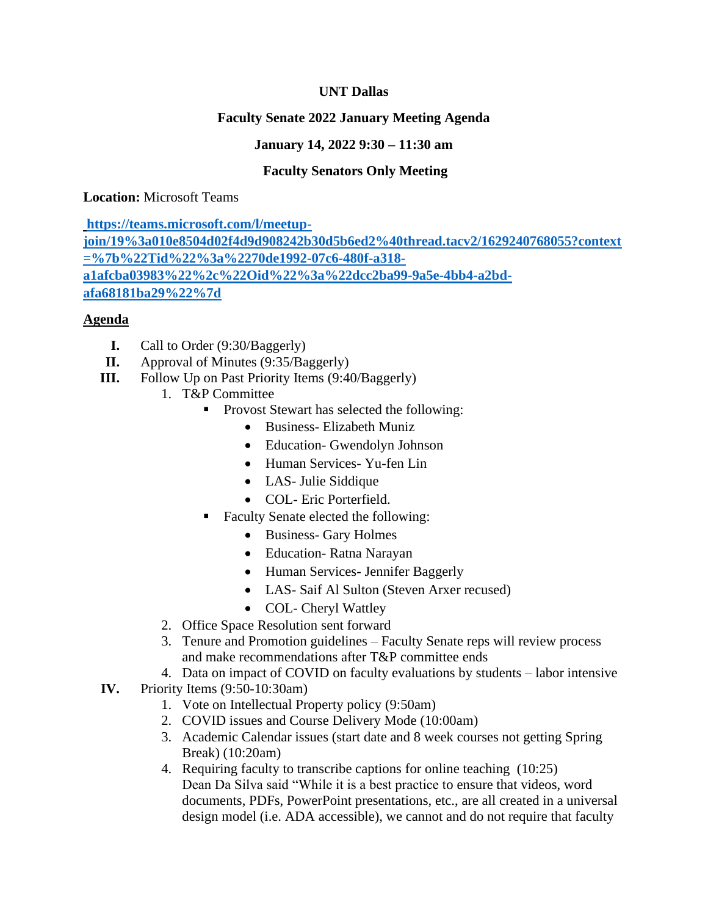### **UNT Dallas**

# **Faculty Senate 2022 January Meeting Agenda**

### **January 14, 2022 9:30 – 11:30 am**

# **Faculty Senators Only Meeting**

**Location:** Microsoft Teams

**[https://teams.microsoft.com/l/meetup](https://teams.microsoft.com/l/meetup-join/19%3a010e8504d02f4d9d908242b30d5b6ed2%40thread.tacv2/1629240768055?context=%7b%22Tid%22%3a%2270de1992-07c6-480f-a318-a1afcba03983%22%2c%22Oid%22%3a%22dcc2ba99-9a5e-4bb4-a2bd-afa68181ba29%22%7d)[join/19%3a010e8504d02f4d9d908242b30d5b6ed2%40thread.tacv2/1629240768055?context](https://teams.microsoft.com/l/meetup-join/19%3a010e8504d02f4d9d908242b30d5b6ed2%40thread.tacv2/1629240768055?context=%7b%22Tid%22%3a%2270de1992-07c6-480f-a318-a1afcba03983%22%2c%22Oid%22%3a%22dcc2ba99-9a5e-4bb4-a2bd-afa68181ba29%22%7d) [=%7b%22Tid%22%3a%2270de1992-07c6-480f-a318](https://teams.microsoft.com/l/meetup-join/19%3a010e8504d02f4d9d908242b30d5b6ed2%40thread.tacv2/1629240768055?context=%7b%22Tid%22%3a%2270de1992-07c6-480f-a318-a1afcba03983%22%2c%22Oid%22%3a%22dcc2ba99-9a5e-4bb4-a2bd-afa68181ba29%22%7d) [a1afcba03983%22%2c%22Oid%22%3a%22dcc2ba99-9a5e-4bb4-a2bd](https://teams.microsoft.com/l/meetup-join/19%3a010e8504d02f4d9d908242b30d5b6ed2%40thread.tacv2/1629240768055?context=%7b%22Tid%22%3a%2270de1992-07c6-480f-a318-a1afcba03983%22%2c%22Oid%22%3a%22dcc2ba99-9a5e-4bb4-a2bd-afa68181ba29%22%7d)[afa68181ba29%22%7d](https://teams.microsoft.com/l/meetup-join/19%3a010e8504d02f4d9d908242b30d5b6ed2%40thread.tacv2/1629240768055?context=%7b%22Tid%22%3a%2270de1992-07c6-480f-a318-a1afcba03983%22%2c%22Oid%22%3a%22dcc2ba99-9a5e-4bb4-a2bd-afa68181ba29%22%7d)**

### **Agenda**

- **I.** Call to Order (9:30/Baggerly)
- **II.** Approval of Minutes (9:35/Baggerly)
- **III.** Follow Up on Past Priority Items (9:40/Baggerly)
	- 1. T&P Committee
		- Provost Stewart has selected the following:
			- Business- Elizabeth Muniz
			- Education- Gwendolyn Johnson
			- Human Services- Yu-fen Lin
			- LAS- Julie Siddique
			- COL- Eric Porterfield.
		- Faculty Senate elected the following:
			- Business- Gary Holmes
			- Education- Ratna Narayan
			- Human Services- Jennifer Baggerly
			- LAS- Saif Al Sulton (Steven Arxer recused)
		- COL- Cheryl Wattley
		- 2. Office Space Resolution sent forward
		- 3. Tenure and Promotion guidelines Faculty Senate reps will review process and make recommendations after T&P committee ends
		- 4. Data on impact of COVID on faculty evaluations by students labor intensive
- **IV.** Priority Items (9:50-10:30am)
	- 1. Vote on Intellectual Property policy (9:50am)
	- 2. COVID issues and Course Delivery Mode (10:00am)
	- 3. Academic Calendar issues (start date and 8 week courses not getting Spring Break) (10:20am)
	- 4. Requiring faculty to transcribe captions for online teaching (10:25) Dean Da Silva said "While it is a best practice to ensure that videos, word documents, PDFs, PowerPoint presentations, etc., are all created in a universal design model (i.e. ADA accessible), we cannot and do not require that faculty